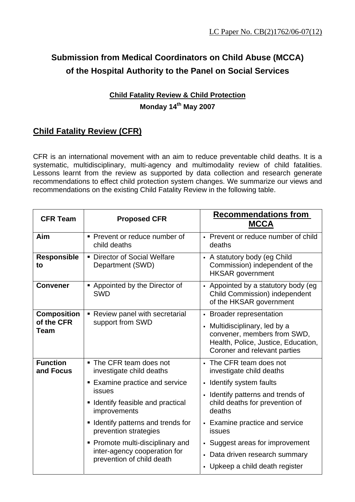# **Submission from Medical Coordinators on Child Abuse (MCCA) of the Hospital Authority to the Panel on Social Services**

### **Child Fatality Review & Child Protection Monday 14th May 2007**

## **Child Fatality Review (CFR)**

CFR is an international movement with an aim to reduce preventable child deaths. It is a systematic, multidisciplinary, multi-agency and multimodality review of child fatalities. Lessons learnt from the review as supported by data collection and research generate recommendations to effect child protection system changes. We summarize our views and recommendations on the existing Child Fatality Review in the following table.

| <b>CFR Team</b>              | <b>Proposed CFR</b>                                                                           | <b>Recommendations from</b><br><b>MCCA</b>                                                                                          |
|------------------------------|-----------------------------------------------------------------------------------------------|-------------------------------------------------------------------------------------------------------------------------------------|
| Aim                          | • Prevent or reduce number of<br>child deaths                                                 | • Prevent or reduce number of child<br>deaths                                                                                       |
| <b>Responsible</b><br>to     | • Director of Social Welfare<br>Department (SWD)                                              | - A statutory body (eg Child<br>Commission) independent of the<br><b>HKSAR</b> government                                           |
| <b>Convener</b>              | Appointed by the Director of<br><b>SWD</b>                                                    | - Appointed by a statutory body (eg<br><b>Child Commission) independent</b><br>of the HKSAR government                              |
| <b>Composition</b>           | Review panel with secretarial<br>$\blacksquare$<br>support from SWD                           | • Broader representation                                                                                                            |
| of the CFR<br><b>Team</b>    |                                                                                               | • Multidisciplinary, led by a<br>convener, members from SWD,<br>Health, Police, Justice, Education,<br>Coroner and relevant parties |
| <b>Function</b><br>and Focus | ■ The CFR team does not<br>investigate child deaths                                           | • The CFR team does not<br>investigate child deaths                                                                                 |
|                              | ■ Examine practice and service                                                                | - Identify system faults                                                                                                            |
|                              | issues<br>Identify feasible and practical<br>improvements                                     | - Identify patterns and trends of<br>child deaths for prevention of<br>deaths                                                       |
|                              | • Identify patterns and trends for<br>prevention strategies                                   | • Examine practice and service<br>issues                                                                                            |
|                              | • Promote multi-disciplinary and<br>inter-agency cooperation for<br>prevention of child death | • Suggest areas for improvement                                                                                                     |
|                              |                                                                                               | Data driven research summary<br>×,                                                                                                  |
|                              |                                                                                               | • Upkeep a child death register                                                                                                     |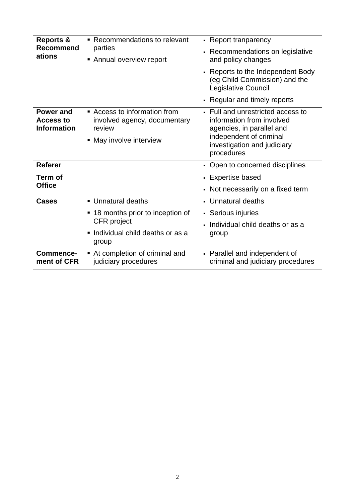| <b>Reports &amp;</b><br><b>Recommend</b><br>ations  | Recommendations to relevant<br>٠                                                                | • Report tranparency                                                                                                                                                |
|-----------------------------------------------------|-------------------------------------------------------------------------------------------------|---------------------------------------------------------------------------------------------------------------------------------------------------------------------|
|                                                     | parties<br>Annual overview report                                                               | Recommendations on legislative<br>and policy changes                                                                                                                |
|                                                     |                                                                                                 | - Reports to the Independent Body<br>(eg Child Commission) and the<br>Legislative Council                                                                           |
|                                                     |                                                                                                 | - Regular and timely reports                                                                                                                                        |
| Power and<br><b>Access to</b><br><b>Information</b> | Access to information from<br>involved agency, documentary<br>review<br>• May involve interview | • Full and unrestricted access to<br>information from involved<br>agencies, in parallel and<br>independent of criminal<br>investigation and judiciary<br>procedures |
| <b>Referer</b>                                      |                                                                                                 | • Open to concerned disciplines                                                                                                                                     |
| Term of                                             |                                                                                                 | - Expertise based                                                                                                                                                   |
| <b>Office</b>                                       |                                                                                                 | Not necessarily on a fixed term<br>$\blacksquare$                                                                                                                   |
| <b>Cases</b>                                        | • Unnatural deaths                                                                              | • Unnatural deaths                                                                                                                                                  |
|                                                     | ■ 18 months prior to inception of<br><b>CFR</b> project                                         | • Serious injuries                                                                                                                                                  |
|                                                     |                                                                                                 | Individual child deaths or as a                                                                                                                                     |
|                                                     | Individual child deaths or as a<br>٠<br>group                                                   | group                                                                                                                                                               |
| Commence-<br>ment of CFR                            | At completion of criminal and<br>judiciary procedures                                           | - Parallel and independent of<br>criminal and judiciary procedures                                                                                                  |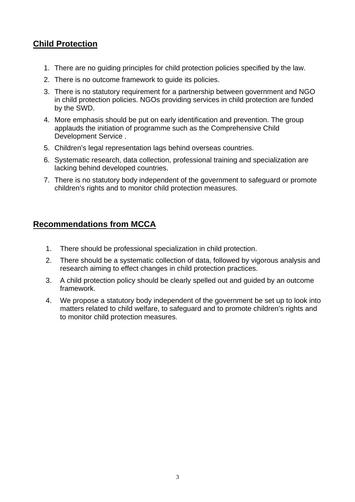#### **Child Protection**

- 1. There are no guiding principles for child protection policies specified by the law.
- 2. There is no outcome framework to guide its policies.
- 3. There is no statutory requirement for a partnership between government and NGO in child protection policies. NGOs providing services in child protection are funded by the SWD.
- 4. More emphasis should be put on early identification and prevention. The group applauds the initiation of programme such as the Comprehensive Child Development Service .
- 5. Children's legal representation lags behind overseas countries.
- 6. Systematic research, data collection, professional training and specialization are lacking behind developed countries.
- 7. There is no statutory body independent of the government to safeguard or promote children's rights and to monitor child protection measures.

#### **Recommendations from MCCA**

- 1. There should be professional specialization in child protection.
- 2. There should be a systematic collection of data, followed by vigorous analysis and research aiming to effect changes in child protection practices.
- 3. A child protection policy should be clearly spelled out and guided by an outcome framework.
- 4. We propose a statutory body independent of the government be set up to look into matters related to child welfare, to safeguard and to promote children's rights and to monitor child protection measures.